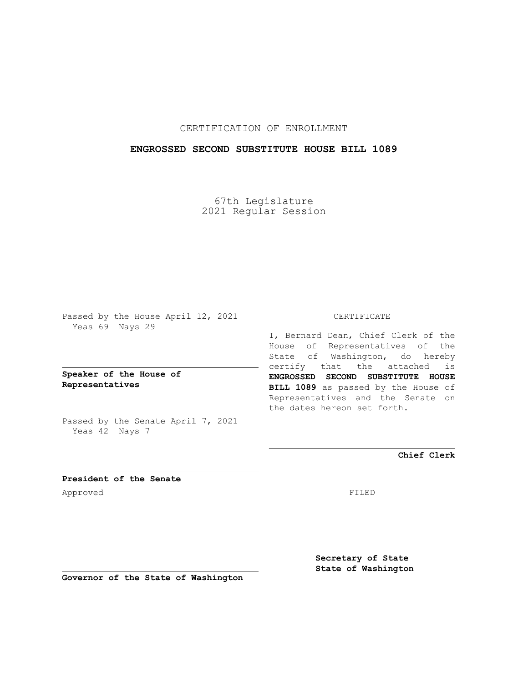# CERTIFICATION OF ENROLLMENT

## **ENGROSSED SECOND SUBSTITUTE HOUSE BILL 1089**

67th Legislature 2021 Regular Session

Passed by the House April 12, 2021 Yeas 69 Nays 29

**Speaker of the House of Representatives**

Passed by the Senate April 7, 2021 Yeas 42 Nays 7

#### CERTIFICATE

I, Bernard Dean, Chief Clerk of the House of Representatives of the State of Washington, do hereby certify that the attached is **ENGROSSED SECOND SUBSTITUTE HOUSE BILL 1089** as passed by the House of Representatives and the Senate on the dates hereon set forth.

**Chief Clerk**

**President of the Senate** Approved FILED

**Secretary of State State of Washington**

**Governor of the State of Washington**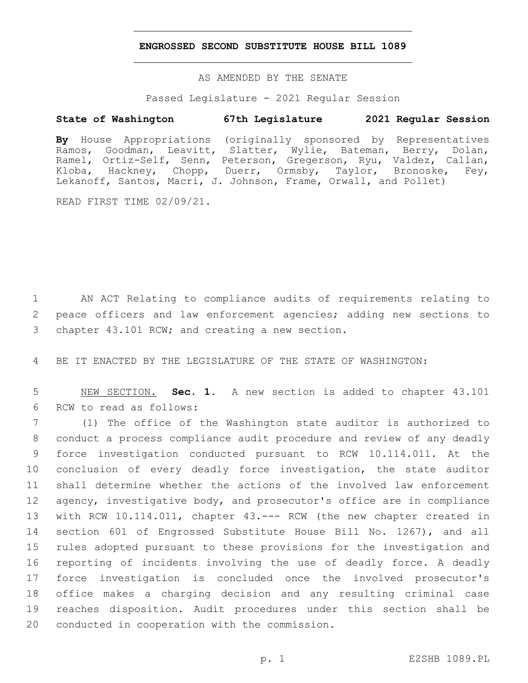### **ENGROSSED SECOND SUBSTITUTE HOUSE BILL 1089**

AS AMENDED BY THE SENATE

Passed Legislature - 2021 Regular Session

# **State of Washington 67th Legislature 2021 Regular Session**

**By** House Appropriations (originally sponsored by Representatives Ramos, Goodman, Leavitt, Slatter, Wylie, Bateman, Berry, Dolan, Ramel, Ortiz-Self, Senn, Peterson, Gregerson, Ryu, Valdez, Callan, Kloba, Hackney, Chopp, Duerr, Ormsby, Taylor, Bronoske, Fey, Lekanoff, Santos, Macri, J. Johnson, Frame, Orwall, and Pollet)

READ FIRST TIME 02/09/21.

1 AN ACT Relating to compliance audits of requirements relating to 2 peace officers and law enforcement agencies; adding new sections to 3 chapter 43.101 RCW; and creating a new section.

4 BE IT ENACTED BY THE LEGISLATURE OF THE STATE OF WASHINGTON:

5 NEW SECTION. **Sec. 1.** A new section is added to chapter 43.101 6 RCW to read as follows:

 (1) The office of the Washington state auditor is authorized to conduct a process compliance audit procedure and review of any deadly force investigation conducted pursuant to RCW 10.114.011. At the conclusion of every deadly force investigation, the state auditor shall determine whether the actions of the involved law enforcement agency, investigative body, and prosecutor's office are in compliance with RCW 10.114.011, chapter 43.--- RCW (the new chapter created in section 601 of Engrossed Substitute House Bill No. 1267), and all rules adopted pursuant to these provisions for the investigation and reporting of incidents involving the use of deadly force. A deadly force investigation is concluded once the involved prosecutor's office makes a charging decision and any resulting criminal case reaches disposition. Audit procedures under this section shall be 20 conducted in cooperation with the commission.